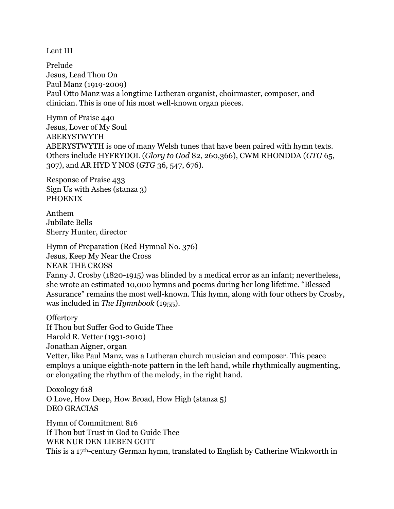Lent III

Prelude Jesus, Lead Thou On Paul Manz (1919-2009) Paul Otto Manz was a longtime Lutheran organist, choirmaster, composer, and clinician. This is one of his most well-known organ pieces.

Hymn of Praise 440 Jesus, Lover of My Soul ABERYSTWYTH ABERYSTWYTH is one of many Welsh tunes that have been paired with hymn texts. Others include HYFRYDOL (*Glory to God* 82, 260,366), CWM RHONDDA (*GTG* 65, 307), and AR HYD Y NOS (*GTG* 36, 547, 676).

Response of Praise 433 Sign Us with Ashes (stanza 3) PHOENIX

Anthem Jubilate Bells Sherry Hunter, director

Hymn of Preparation (Red Hymnal No. 376) Jesus, Keep My Near the Cross NEAR THE CROSS Fanny J. Crosby (1820-1915) was blinded by a medical error as an infant; nevertheless, she wrote an estimated 10,000 hymns and poems during her long lifetime. "Blessed Assurance" remains the most well-known. This hymn, along with four others by Crosby, was included in *The Hymnbook* (1955).

**Offertory** If Thou but Suffer God to Guide Thee Harold R. Vetter (1931-2010) Jonathan Aigner, organ Vetter, like Paul Manz, was a Lutheran church musician and composer. This peace employs a unique eighth-note pattern in the left hand, while rhythmically augmenting, or elongating the rhythm of the melody, in the right hand.

Doxology 618 O Love, How Deep, How Broad, How High (stanza 5) DEO GRACIAS

Hymn of Commitment 816 If Thou but Trust in God to Guide Thee WER NUR DEN LIEBEN GOTT This is a 17th-century German hymn, translated to English by Catherine Winkworth in